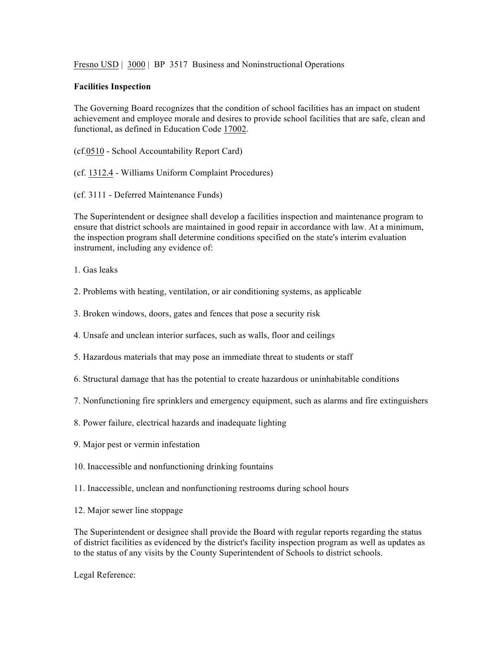Fresno USD | 3000 | BP 3517 Business and Noninstructional Operations

## **Facilities Inspection**

The Governing Board recognizes that the condition of school facilities has an impact on student achievement and employee morale and desires to provide school facilities that are safe, clean and functional, as defined in Education Code 17002.

(cf.0510 - School Accountability Report Card)

(cf. 1312.4 - Williams Uniform Complaint Procedures)

(cf. 3111 - Deferred Maintenance Funds)

The Superintendent or designee shall develop a facilities inspection and maintenance program to ensure that district schools are maintained in good repair in accordance with law. At a minimum, the inspection program shall determine conditions specified on the state's interim evaluation instrument, including any evidence of:

1. Gas leaks

- 2. Problems with heating, ventilation, or air conditioning systems, as applicable
- 3. Broken windows, doors, gates and fences that pose a security risk
- 4. Unsafe and unclean interior surfaces, such as walls, floor and ceilings
- 5. Hazardous materials that may pose an immediate threat to students or staff
- 6. Structural damage that has the potential to create hazardous or uninhabitable conditions
- 7. Nonfunctioning fire sprinklers and emergency equipment, such as alarms and fire extinguishers
- 8. Power failure, electrical hazards and inadequate lighting
- 9. Major pest or vermin infestation
- 10. Inaccessible and nonfunctioning drinking fountains
- 11. Inaccessible, unclean and nonfunctioning restrooms during school hours
- 12. Major sewer line stoppage

The Superintendent or designee shall provide the Board with regular reports regarding the status of district facilities as evidenced by the district's facility inspection program as well as updates as to the status of any visits by the County Superintendent of Schools to district schools.

Legal Reference: